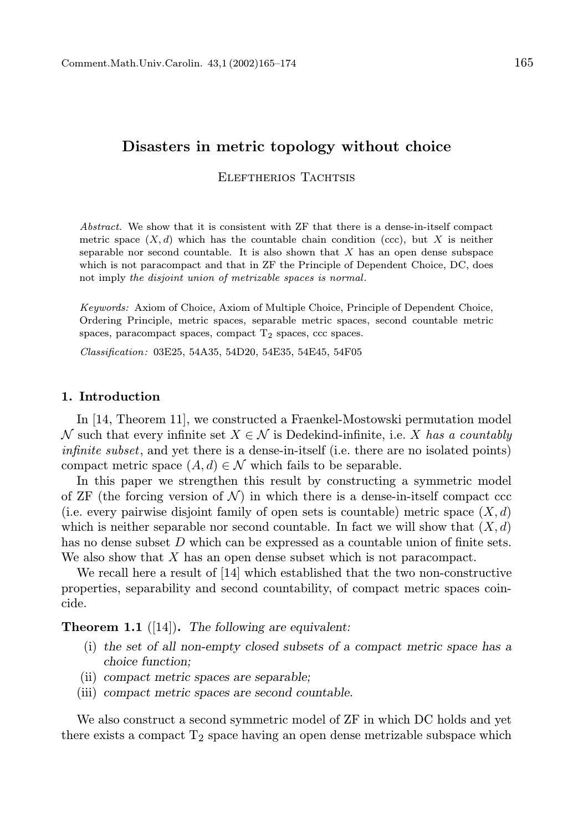ELEFTHERIOS TACHTSIS

Abstract. We show that it is consistent with ZF that there is a dense-in-itself compact metric space  $(X, d)$  which has the countable chain condition (ccc), but X is neither separable nor second countable. It is also shown that  $X$  has an open dense subspace which is not paracompact and that in ZF the Principle of Dependent Choice, DC, does not imply the disjoint union of metrizable spaces is normal.

Keywords: Axiom of Choice, Axiom of Multiple Choice, Principle of Dependent Choice, Ordering Principle, metric spaces, separable metric spaces, second countable metric spaces, paracompact spaces, compact  $T_2$  spaces, ccc spaces.

Classification: 03E25, 54A35, 54D20, 54E35, 54E45, 54F05

#### 1. Introduction

In [14, Theorem 11], we constructed a Fraenkel-Mostowski permutation model N such that every infinite set  $X \in \mathcal{N}$  is Dedekind-infinite, i.e. X has a countably infinite subset, and yet there is a dense-in-itself (i.e. there are no isolated points) compact metric space  $(A, d) \in \mathcal{N}$  which fails to be separable.

In this paper we strengthen this result by constructing a symmetric model of ZF (the forcing version of  $\mathcal{N}$ ) in which there is a dense-in-itself compact ccc (i.e. every pairwise disjoint family of open sets is countable) metric space  $(X, d)$ which is neither separable nor second countable. In fact we will show that  $(X, d)$ has no dense subset D which can be expressed as a countable union of finite sets. We also show that  $X$  has an open dense subset which is not paracompact.

We recall here a result of [14] which established that the two non-constructive properties, separability and second countability, of compact metric spaces coincide.

#### **Theorem 1.1** ([14]). The following are equivalent:

- (i) the set of all non-empty closed subsets of a compact metric space has a choice function;
- (ii) compact metric spaces are separable;
- (iii) compact metric spaces are second countable.

We also construct a second symmetric model of ZF in which DC holds and yet there exists a compact  $T_2$  space having an open dense metrizable subspace which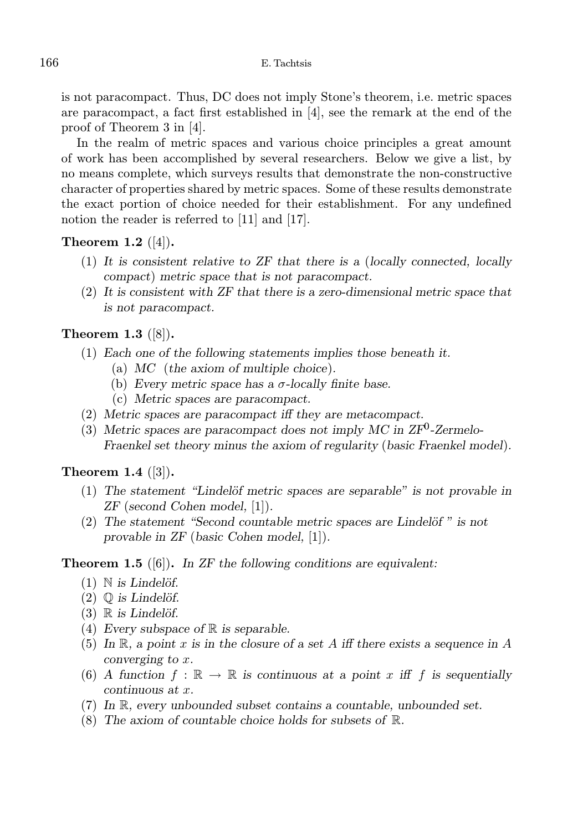is not paracompact. Thus, DC does not imply Stone's theorem, i.e. metric spaces are paracompact, a fact first established in [4], see the remark at the end of the proof of Theorem 3 in [4].

In the realm of metric spaces and various choice principles a great amount of work has been accomplished by several researchers. Below we give a list, by no means complete, which surveys results that demonstrate the non-constructive character of properties shared by metric spaces. Some of these results demonstrate the exact portion of choice needed for their establishment. For any undefined notion the reader is referred to [11] and [17].

# **Theorem 1.2** ([4]).

- (1) It is consistent relative to ZF that there is a (locally connected, locally compact) metric space that is not paracompact.
- (2) It is consistent with ZF that there is a zero-dimensional metric space that is not paracompact.

# **Theorem 1.3**  $([8])$ .

- (1) Each one of the following statements implies those beneath it.
	- (a) MC (the axiom of multiple choice).
	- (b) Every metric space has a  $\sigma$ -locally finite base.
	- (c) Metric spaces are paracompact.
- (2) Metric spaces are paracompact iff they are metacompact.
- (3) Metric spaces are paracompact does not imply MC in  $ZF^0$ -Zermelo-Fraenkel set theory minus the axiom of regularity (basic Fraenkel model).

## **Theorem 1.4** ([3]).

- $(1)$  The statement "Lindelöf metric spaces are separable" is not provable in ZF (second Cohen model, [1]).
- $(2)$  The statement "Second countable metric spaces are Lindelöf" is not provable in ZF (basic Cohen model, [1]).

## **Theorem 1.5** ([6]). In ZF the following conditions are equivalent:

- $(1)$  N is Lindelöf.
- $(2)$  Q is Lindelöf.
- $(3) \mathbb{R}$  is Lindelöf.
- (4) Every subspace of  $\mathbb R$  is separable.
- (5) In R, a point x is in the closure of a set A iff there exists a sequence in A converging to x.
- (6) A function  $f : \mathbb{R} \to \mathbb{R}$  is continuous at a point x iff f is sequentially continuous at x.
- (7) In R, every unbounded subset contains a countable, unbounded set.
- (8) The axiom of countable choice holds for subsets of R.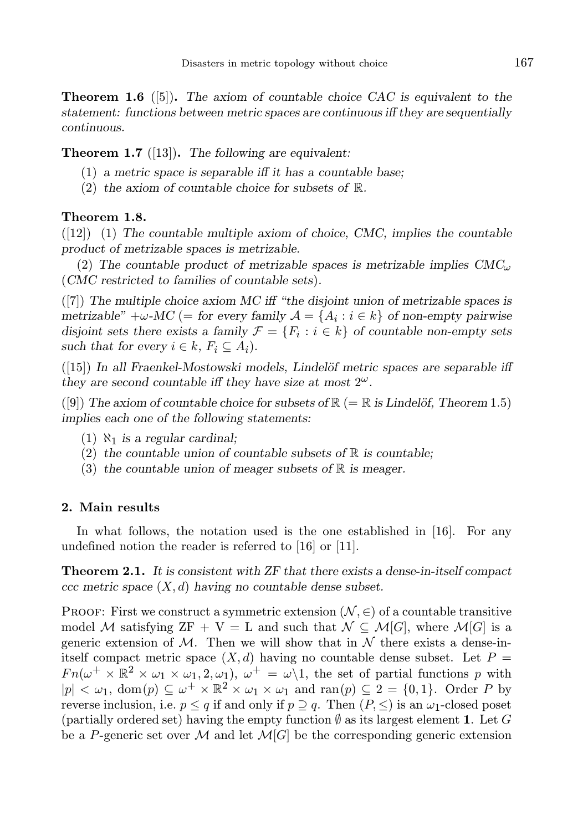**Theorem 1.6** ([5]). The axiom of countable choice CAC is equivalent to the statement: functions between metric spaces are continuous iff they are sequentially continuous.

**Theorem 1.7** ([13]). The following are equivalent:

- (1) a metric space is separable iff it has a countable base;
- (2) the axiom of countable choice for subsets of R.

## Theorem 1.8.

 $(12)$  (1) The countable multiple axiom of choice, CMC, implies the countable product of metrizable spaces is metrizable.

(2) The countable product of metrizable spaces is metrizable implies  $CMC_{\omega}$ (CMC restricted to families of countable sets).

 $(7)$  The multiple choice axiom MC iff "the disjoint union of metrizable spaces is metrizable" +ω-MC (= for every family  $A = \{A_i : i \in k\}$  of non-empty pairwise disjoint sets there exists a family  $\mathcal{F} = \{F_i : i \in k\}$  of countable non-empty sets such that for every  $i \in k$ ,  $F_i \subseteq A_i$ ).

 $([15])$  In all Fraenkel-Mostowski models, Lindelöf metric spaces are separable iff they are second countable iff they have size at most  $2^{\omega}$ .

([9]) The axiom of countable choice for subsets of  $\mathbb{R} (= \mathbb{R}$  is Lindelöf, Theorem 1.5) implies each one of the following statements:

- (1)  $\aleph_1$  is a regular cardinal;
- (2) the countable union of countable subsets of  $\mathbb R$  is countable;
- (3) the countable union of meager subsets of  $\mathbb R$  is meager.

## 2. Main results

In what follows, the notation used is the one established in [16]. For any undefined notion the reader is referred to [16] or [11].

Theorem 2.1. It is consistent with ZF that there exists a dense-in-itself compact ccc metric space  $(X, d)$  having no countable dense subset.

PROOF: First we construct a symmetric extension  $(\mathcal{N}, \in)$  of a countable transitive model M satisfying  $ZF + V = L$  and such that  $\mathcal{N} \subseteq \mathcal{M}[G]$ , where  $\mathcal{M}[G]$  is a generic extension of  $M$ . Then we will show that in  $\mathcal N$  there exists a dense-initself compact metric space  $(X, d)$  having no countable dense subset. Let  $P =$  $Fn(\omega^+ \times \mathbb{R}^2 \times \omega_1 \times \omega_1, 2, \omega_1), \omega^+ = \omega \setminus 1$ , the set of partial functions p with  $|p| < \omega_1$ ,  $dom(p) \subseteq \omega^+ \times \mathbb{R}^2 \times \omega_1 \times \omega_1$  and  $ran(p) \subseteq 2 = \{0, 1\}$ . Order P by reverse inclusion, i.e.  $p \leq q$  if and only if  $p \supseteq q$ . Then  $(P, \leq)$  is an  $\omega_1$ -closed poset (partially ordered set) having the empty function  $\emptyset$  as its largest element 1. Let G be a P-generic set over M and let  $\mathcal{M}[G]$  be the corresponding generic extension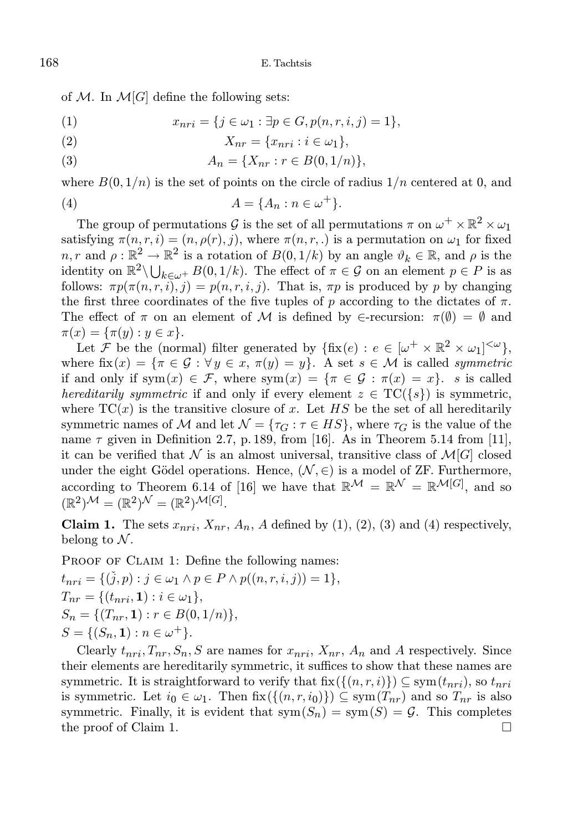of M. In  $\mathcal{M}[G]$  define the following sets:

(1) 
$$
x_{nri} = \{ j \in \omega_1 : \exists p \in G, p(n,r,i,j) = 1 \},
$$

$$
(2) \t\t X_{nr} = \{x_{nri} : i \in \omega_1\},\
$$

(3) 
$$
A_n = \{X_{nr} : r \in B(0, 1/n)\},\
$$

where  $B(0, 1/n)$  is the set of points on the circle of radius  $1/n$  centered at 0, and (4)  $A = \{A_n : n \in \omega^+\}.$ 

The group of permutations  $\mathcal G$  is the set of all permutations  $\pi$  on  $\omega^+ \times \mathbb{R}^2 \times \omega_1$ satisfying  $\pi(n, r, i) = (n, \rho(r), j)$ , where  $\pi(n, r, i)$  is a permutation on  $\omega_1$  for fixed  $n, r$  and  $\rho : \mathbb{R}^2 \to \mathbb{R}^2$  is a rotation of  $B(0, 1/k)$  by an angle  $\vartheta_k \in \mathbb{R}$ , and  $\rho$  is the identity on  $\mathbb{R}^2 \setminus \bigcup_{k \in \omega^+} B(0, 1/k)$ . The effect of  $\pi \in \mathcal{G}$  on an element  $p \in P$  is as follows:  $\pi p(\pi(n,r,i), j) = p(n,r,i,j)$ . That is,  $\pi p$  is produced by p by changing the first three coordinates of the five tuples of p according to the dictates of  $\pi$ . The effect of  $\pi$  on an element of M is defined by  $\in$ -recursion:  $\pi(\emptyset) = \emptyset$  and  $\pi(x) = {\pi(y) : y \in x}.$ 

Let F be the (normal) filter generated by  $\{\text{fix}(e) : e \in [\omega^+ \times \mathbb{R}^2 \times \omega_1]^{<\omega}\},$ where  $fix(x) = {\pi \in \mathcal{G} : \forall y \in x, \pi(y) = y}.$  A set  $s \in \mathcal{M}$  is called symmetric if and only if  $sym(x) \in \mathcal{F}$ , where  $sym(x) = {\pi \in \mathcal{G} : \pi(x) = x}$ . s is called hereditarily symmetric if and only if every element  $z \in TC({s})$  is symmetric, where  $TC(x)$  is the transitive closure of x. Let HS be the set of all hereditarily symmetric names of M and let  $\mathcal{N} = \{ \tau_G : \tau \in HS \}$ , where  $\tau_G$  is the value of the name  $\tau$  given in Definition 2.7, p. 189, from [16]. As in Theorem 5.14 from [11], it can be verified that  $\mathcal N$  is an almost universal, transitive class of  $\mathcal M[G]$  closed under the eight Gödel operations. Hence,  $(\mathcal{N}, \in)$  is a model of ZF. Furthermore, according to Theorem 6.14 of [16] we have that  $\mathbb{R}^{\mathcal{M}} = \mathbb{R}^{\mathcal{N}} = \mathbb{R}^{\mathcal{M}[G]}$ , and so  $(\mathbb{R}^2)^{\mathcal{M}} = (\mathbb{R}^2)^{\mathcal{N}} = (\mathbb{R}^2)^{\mathcal{M}[G]}.$ 

**Claim 1.** The sets  $x_{nri}$ ,  $X_{nr}$ ,  $A_n$ , A defined by (1), (2), (3) and (4) respectively, belong to  $\mathcal N$ .

PROOF OF CLAIM 1: Define the following names:

$$
t_{nri} = \{ (\check{j}, p) : j \in \omega_1 \land p \in P \land p((n, r, i, j)) = 1 \},
$$
  
\n
$$
T_{nr} = \{ (t_{nri}, 1) : i \in \omega_1 \},
$$
  
\n
$$
S_n = \{ (T_{nr}, 1) : r \in B(0, 1/n) \},
$$
  
\n
$$
S = \{ (S_n, 1) : n \in \omega^+ \}.
$$

Clearly  $t_{nri}, T_{nr}, S_n, S$  are names for  $x_{nri}, X_{nr}, A_n$  and A respectively. Since their elements are hereditarily symmetric, it suffices to show that these names are symmetric. It is straightforward to verify that  $fix({(n, r, i)}) \subseteq sym(t_{nri}),$  so  $t_{nri}$ is symmetric. Let  $i_0 \in \omega_1$ . Then  $fix(\{(n, r, i_0)\}) \subseteq sym(T_{nr})$  and so  $T_{nr}$  is also symmetric. Finally, it is evident that  $sym(S_n) = sym(S) = \mathcal{G}$ . This completes the proof of Claim 1.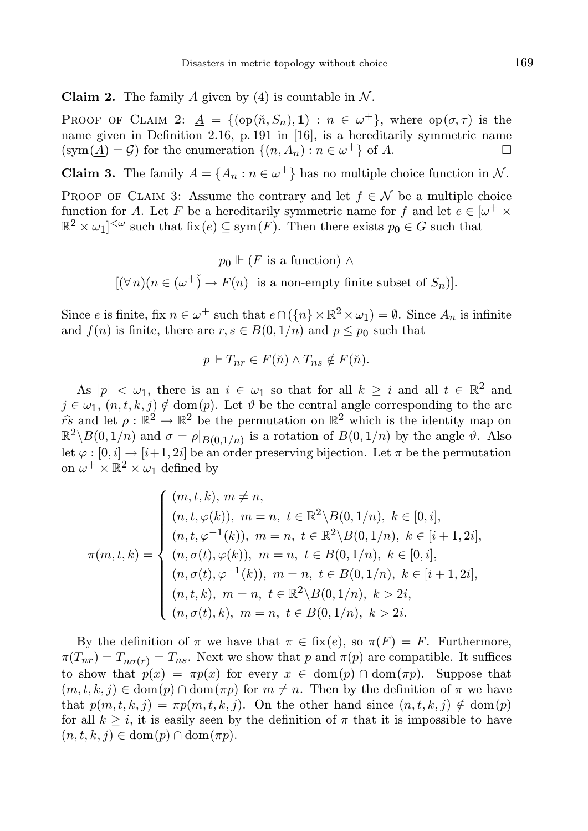**Claim 2.** The family A given by (4) is countable in  $N$ .

PROOF OF CLAIM 2:  $\underline{A} = \{(\text{op}(\check{n},S_n),1) : n \in \omega^+\},\$  where  $\text{op}(\sigma,\tau)$  is the name given in Definition 2.16, p. 191 in [16], is a hereditarily symmetric name  $(\text{sym}(\underline{A}) = \mathcal{G})$  for the enumeration  $\{(n, A_n) : n \in \omega^+\}$  of A.

**Claim 3.** The family  $A = \{A_n : n \in \omega^+\}$  has no multiple choice function in N.

PROOF OF CLAIM 3: Assume the contrary and let  $f \in \mathcal{N}$  be a multiple choice function for A. Let F be a hereditarily symmetric name for f and let  $e \in [\omega^+ \times$  $\mathbb{R}^2 \times \omega_1$   $\leq \omega$  such that  $\operatorname{fix}(e) \subseteq \operatorname{sym}(F)$ . Then there exists  $p_0 \in G$  such that

> $p_0 \Vdash (F \text{ is a function}) \wedge$  $[(\forall n)(n \in (\omega^{+}) \rightarrow F(n)]$  is a non-empty finite subset of  $S_n$ ).

Since e is finite, fix  $n \in \omega^+$  such that  $e \cap (\{n\} \times \mathbb{R}^2 \times \omega_1) = \emptyset$ . Since  $A_n$  is infinite and  $f(n)$  is finite, there are  $r, s \in B(0, 1/n)$  and  $p \leq p_0$  such that

$$
p \Vdash T_{nr} \in F(\check{n}) \wedge T_{ns} \notin F(\check{n}).
$$

As  $|p| < \omega_1$ , there is an  $i \in \omega_1$  so that for all  $k \geq i$  and all  $t \in \mathbb{R}^2$  and  $j \in \omega_1$ ,  $(n, t, k, j) \notin \text{dom}(p)$ . Let  $\vartheta$  be the central angle corresponding to the arc  $\hat{r}$ s and let  $\rho : \mathbb{R}^2 \to \mathbb{R}^2$  be the permutation on  $\mathbb{R}^2$  which is the identity map on  $\mathbb{R}^2 \setminus B(0, 1/n)$  and  $\sigma = \rho|_{B(0, 1/n)}$  is a rotation of  $B(0, 1/n)$  by the angle  $\vartheta$ . Also let  $\varphi : [0, i] \to [i+1, 2i]$  be an order preserving bijection. Let  $\pi$  be the permutation on  $\omega^+ \times \mathbb{R}^2 \times \omega_1$  defined by

$$
\pi(m, t, k) = \begin{cases}\n(m, t, k), m \neq n, \\
(n, t, \varphi(k)), m = n, t \in \mathbb{R}^2 \setminus B(0, 1/n), k \in [0, i], \\
(n, t, \varphi^{-1}(k)), m = n, t \in \mathbb{R}^2 \setminus B(0, 1/n), k \in [i + 1, 2i], \\
(n, \sigma(t), \varphi(k)), m = n, t \in B(0, 1/n), k \in [0, i], \\
(n, \sigma(t), \varphi^{-1}(k)), m = n, t \in B(0, 1/n), k \in [i + 1, 2i], \\
(n, t, k), m = n, t \in \mathbb{R}^2 \setminus B(0, 1/n), k > 2i, \\
(n, \sigma(t), k), m = n, t \in B(0, 1/n), k > 2i.\n\end{cases}
$$

By the definition of  $\pi$  we have that  $\pi \in$  fix $(e)$ , so  $\pi(F) = F$ . Furthermore,  $\pi(T_{nr}) = T_{n\sigma(r)} = T_{ns}$ . Next we show that p and  $\pi(p)$  are compatible. It suffices to show that  $p(x) = \pi p(x)$  for every  $x \in \text{dom}(p) \cap \text{dom}(\pi p)$ . Suppose that  $(m, t, k, j) \in \text{dom}(p) \cap \text{dom}(\pi p)$  for  $m \neq n$ . Then by the definition of  $\pi$  we have that  $p(m, t, k, j) = \pi p(m, t, k, j)$ . On the other hand since  $(n, t, k, j) \notin \text{dom}(p)$ for all  $k \geq i$ , it is easily seen by the definition of  $\pi$  that it is impossible to have  $(n, t, k, j) \in \text{dom}(p) \cap \text{dom}(\pi p).$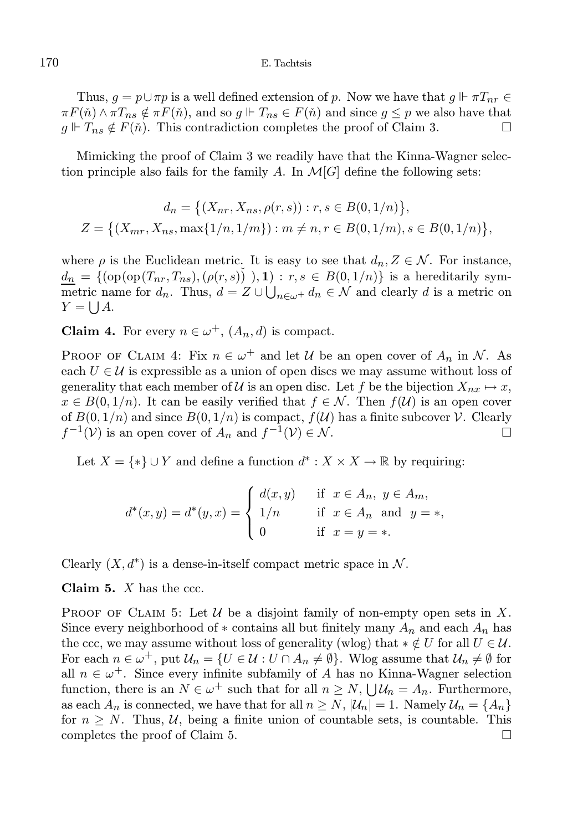#### 170 E. Tachtsis

Thus,  $q = p \cup \pi p$  is a well defined extension of p. Now we have that  $q \Vdash \pi T_{nr} \in$  $\pi F(\tilde{n}) \wedge \pi T_{ns} \notin \pi F(\tilde{n})$ , and so  $g \Vdash T_{ns} \in F(\tilde{n})$  and since  $g \leq p$  we also have that  $g \Vdash T_{ns} \notin F(\tilde{n})$ . This contradiction completes the proof of Claim 3.

Mimicking the proof of Claim 3 we readily have that the Kinna-Wagner selection principle also fails for the family A. In  $\mathcal{M}[G]$  define the following sets:

$$
d_n = \{(X_{nr}, X_{ns}, \rho(r, s)) : r, s \in B(0, 1/n)\},
$$
  

$$
Z = \{(X_{mr}, X_{ns}, \max\{1/n, 1/m\}) : m \neq n, r \in B(0, 1/m), s \in B(0, 1/n)\},
$$

where  $\rho$  is the Euclidean metric. It is easy to see that  $d_n, Z \in \mathcal{N}$ . For instance,  $d_n = \{(\text{op}(op(T_{nr}, T_{ns}), (\rho(r, s)))), 1) : r, s \in B(0, 1/n)\}\$ is a hereditarily symmetric name for  $d_n$ . Thus,  $d = Z \cup \bigcup_{n \in \omega^+} d_n \in \mathcal{N}$  and clearly d is a metric on  $Y = \bigcup A$ .

**Claim 4.** For every  $n \in \omega^+$ ,  $(A_n, d)$  is compact.

PROOF OF CLAIM 4: Fix  $n \in \omega^+$  and let U be an open cover of  $A_n$  in N. As each  $U \in \mathcal{U}$  is expressible as a union of open discs we may assume without loss of generality that each member of U is an open disc. Let f be the bijection  $X_{nx} \mapsto x$ ,  $x \in B(0, 1/n)$ . It can be easily verified that  $f \in \mathcal{N}$ . Then  $f(\mathcal{U})$  is an open cover of  $B(0, 1/n)$  and since  $B(0, 1/n)$  is compact,  $f(\mathcal{U})$  has a finite subcover  $\mathcal{V}$ . Clearly  $f^{-1}(\mathcal{V})$  is an open cover of  $A_n$  and  $f^{-1}(\mathcal{V}) \in \mathcal{N}$ .

Let  $X = \{ * \} \cup Y$  and define a function  $d^* : X \times X \to \mathbb{R}$  by requiring:

$$
d^*(x, y) = d^*(y, x) = \begin{cases} d(x, y) & \text{if } x \in A_n, y \in A_m, \\ 1/n & \text{if } x \in A_n \text{ and } y = *, \\ 0 & \text{if } x = y = *.\end{cases}
$$

Clearly  $(X, d^*)$  is a dense-in-itself compact metric space in N.

**Claim 5.**  $X$  has the ccc.

PROOF OF CLAIM 5: Let  $U$  be a disjoint family of non-empty open sets in X. Since every neighborhood of  $*$  contains all but finitely many  $A_n$  and each  $A_n$  has the ccc, we may assume without loss of generality (wlog) that  $*\notin U$  for all  $U \in \mathcal{U}$ . For each  $n \in \omega^+$ , put  $\mathcal{U}_n = \{U \in \mathcal{U} : U \cap A_n \neq \emptyset\}$ . Wlog assume that  $\mathcal{U}_n \neq \emptyset$  for all  $n \in \omega^+$ . Since every infinite subfamily of A has no Kinna-Wagner selection function, there is an  $N \in \omega^+$  such that for all  $n \ge N$ ,  $\bigcup \mathcal{U}_n = A_n$ . Furthermore, as each  $A_n$  is connected, we have that for all  $n \ge N$ ,  $|\mathcal{U}_n| = 1$ . Namely  $\mathcal{U}_n = \{A_n\}$ for  $n \geq N$ . Thus, U, being a finite union of countable sets, is countable. This completes the proof of Claim 5.  $\Box$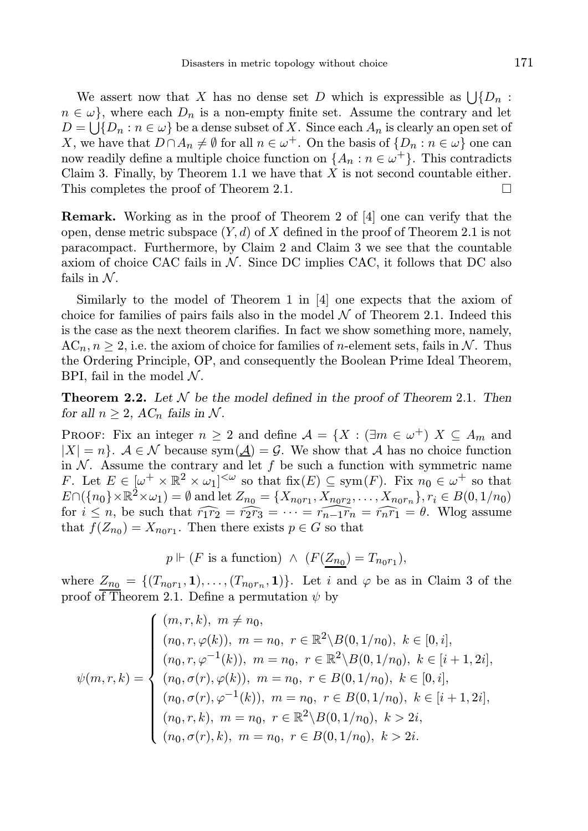We assert now that X has no dense set D which is expressible as  $\bigcup \{D_n :$  $n \in \omega$ , where each  $D_n$  is a non-empty finite set. Assume the contrary and let  $D = \bigcup \{D_n : n \in \omega\}$  be a dense subset of X. Since each  $A_n$  is clearly an open set of X, we have that  $D \cap A_n \neq \emptyset$  for all  $n \in \omega^+$ . On the basis of  $\{D_n : n \in \omega\}$  one can now readily define a multiple choice function on  $\{A_n : n \in \omega^+\}$ . This contradicts Claim 3. Finally, by Theorem 1.1 we have that  $X$  is not second countable either. This completes the proof of Theorem 2.1.  $\Box$ 

Remark. Working as in the proof of Theorem 2 of [4] one can verify that the open, dense metric subspace  $(Y, d)$  of X defined in the proof of Theorem 2.1 is not paracompact. Furthermore, by Claim 2 and Claim 3 we see that the countable axiom of choice CAC fails in  $N$ . Since DC implies CAC, it follows that DC also fails in  $N$ .

Similarly to the model of Theorem 1 in [4] one expects that the axiom of choice for families of pairs fails also in the model  $N$  of Theorem 2.1. Indeed this is the case as the next theorem clarifies. In fact we show something more, namely,  $AC_n$ ,  $n \geq 2$ , i.e. the axiom of choice for families of *n*-element sets, fails in N. Thus the Ordering Principle, OP, and consequently the Boolean Prime Ideal Theorem, BPI, fail in the model  $\mathcal N$ .

**Theorem 2.2.** Let  $N$  be the model defined in the proof of Theorem 2.1. Then for all  $n \geq 2$ ,  $AC_n$  fails in N.

PROOF: Fix an integer  $n \geq 2$  and define  $\mathcal{A} = \{X : (\exists m \in \omega^{+}) X \subseteq A_m \text{ and } \exists m \in \mathcal{A} \mid \exists m \in \mathcal{A} \}$  $|X| = n$ .  $\mathcal{A} \in \mathcal{N}$  because sym $(\mathcal{A}) = \mathcal{G}$ . We show that A has no choice function in  $N$ . Assume the contrary and let f be such a function with symmetric name F. Let  $E \in [\omega^+ \times \mathbb{R}^2 \times \omega_1]^{<\omega}$  so that  $fix(E) \subseteq sym(F)$ . Fix  $n_0 \in \omega^+$  so that  $E \cap (\{n_0\} \times \mathbb{R}^2 \times \omega_1) = \emptyset$  and let  $Z_{n_0} = \{X_{n_0r_1}, X_{n_0r_2}, \dots, X_{n_0r_n}\}, r_i \in B(0, 1/n_0)$ for  $i \leq n$ , be such that  $\widehat{r_1r_2} = \widehat{r_2r_3} = \cdots = \widehat{r_{n-1}r_n} = \widehat{r_n r_1} = \theta$ . Wlog assume that  $f(Z_{n_0}) = X_{n_0r_1}$ . Then there exists  $p \in G$  so that

$$
p \Vdash (F \text{ is a function}) \ \land \ (F(Z_{n_0}) = T_{n_0 r_1}),
$$

where  $Z_{n_0} = \{(T_{n_0r_1}, 1), \ldots, (T_{n_0r_n}, 1)\}.$  Let i and  $\varphi$  be as in Claim 3 of the proof of Theorem 2.1. Define a permutation  $\psi$  by

$$
\psi(m,r,k) = \begin{cases}\n(m,r,k), & m \neq n_0, \\
(n_0, r, \varphi(k)), & m = n_0, \ r \in \mathbb{R}^2 \setminus B(0, 1/n_0), \ k \in [0, i], \\
(n_0, r, \varphi^{-1}(k)), & m = n_0, \ r \in \mathbb{R}^2 \setminus B(0, 1/n_0), \ k \in [i + 1, 2i], \\
(n_0, \sigma(r), \varphi(k)), & m = n_0, \ r \in B(0, 1/n_0), \ k \in [0, i], \\
(n_0, \sigma(r), \varphi^{-1}(k)), & m = n_0, \ r \in B(0, 1/n_0), \ k \geq i, \\
(n_0, \sigma(r), k), & m = n_0, \ r \in B(0, 1/n_0), \ k > 2i,\n\end{cases}
$$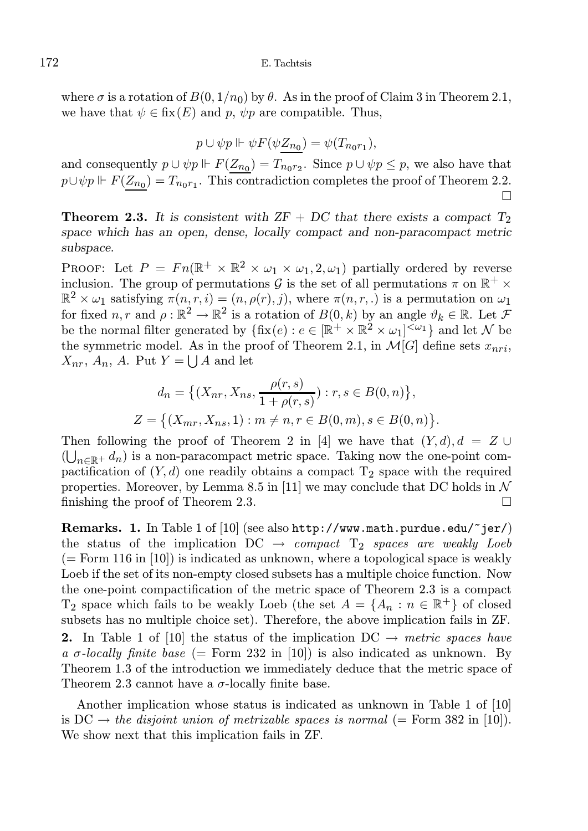#### 172 E. Tachtsis

where  $\sigma$  is a rotation of  $B(0, 1/n_0)$  by  $\theta$ . As in the proof of Claim 3 in Theorem 2.1, we have that  $\psi \in \text{fix}(E)$  and p,  $\psi p$  are compatible. Thus,

$$
p \cup \psi p \Vdash \psi F(\psi Z_{n_0}) = \psi(T_{n_0 r_1}),
$$

and consequently  $p \cup \psi p \Vdash F(Z_{n_0}) = T_{n_0 r_2}$ . Since  $p \cup \psi p \leq p$ , we also have that  $p \cup \psi p \Vdash F(Z_{n_0}) = T_{n_0r_1}$ . This contradiction completes the proof of Theorem 2.2.  $\Box$ 

**Theorem 2.3.** It is consistent with  $ZF + DC$  that there exists a compact  $T_2$ space which has an open, dense, locally compact and non-paracompact metric subspace.

PROOF: Let  $P = Fn(\mathbb{R}^+\times\mathbb{R}^2\times\omega_1\times\omega_1,2,\omega_1)$  partially ordered by reverse inclusion. The group of permutations  $\mathcal G$  is the set of all permutations  $\pi$  on  $\mathbb{R}^+ \times$  $\mathbb{R}^2 \times \omega_1$  satisfying  $\pi(n,r,i) = (n, \rho(r), j)$ , where  $\pi(n,r,.)$  is a permutation on  $\omega_1$ for fixed  $n, r$  and  $\rho : \mathbb{R}^2 \to \mathbb{R}^2$  is a rotation of  $B(0, k)$  by an angle  $\vartheta_k \in \mathbb{R}$ . Let  $\mathcal F$ be the normal filter generated by  $\{\text{fix}(e) : e \in [\mathbb{R}^+ \times \mathbb{R}^2 \times \omega_1]^{<\omega_1}\}$  and let  $\mathcal N$  be the symmetric model. As in the proof of Theorem 2.1, in  $\mathcal{M}[G]$  define sets  $x_{nri}$ ,  $X_{nr}$ ,  $A_n$ , A. Put  $Y = \bigcup A$  and let

$$
d_n = \{(X_{nr}, X_{ns}, \frac{\rho(r, s)}{1 + \rho(r, s)}) : r, s \in B(0, n)\},\
$$
  

$$
Z = \{(X_{mr}, X_{ns}, 1) : m \neq n, r \in B(0, m), s \in B(0, n)\}.
$$

Then following the proof of Theorem 2 in [4] we have that  $(Y, d), d = Z \cup$  $(\bigcup_{n\in\mathbb{R}^+}d_n)$  is a non-paracompact metric space. Taking now the one-point compactification of  $(Y, d)$  one readily obtains a compact  $T_2$  space with the required properties. Moreover, by Lemma 8.5 in [11] we may conclude that DC holds in  $\mathcal N$ finishing the proof of Theorem 2.3.

**Remarks.** 1. In Table 1 of  $\begin{bmatrix} 10 \end{bmatrix}$  (see also http://www.math.purdue.edu/ $\begin{bmatrix} 7 \end{bmatrix}$ er/ the status of the implication  $DC \rightarrow compact$   $T_2$  spaces are weakly Loeb  $(=$  Form 116 in [10]) is indicated as unknown, where a topological space is weakly Loeb if the set of its non-empty closed subsets has a multiple choice function. Now the one-point compactification of the metric space of Theorem 2.3 is a compact T<sub>2</sub> space which fails to be weakly Loeb (the set  $A = \{A_n : n \in \mathbb{R}^+\}$  of closed subsets has no multiple choice set). Therefore, the above implication fails in ZF. 2. In Table 1 of [10] the status of the implication DC  $\rightarrow$  metric spaces have a  $\sigma$ -locally finite base (= Form 232 in [10]) is also indicated as unknown. By Theorem 1.3 of the introduction we immediately deduce that the metric space of Theorem 2.3 cannot have a  $\sigma$ -locally finite base.

Another implication whose status is indicated as unknown in Table 1 of [10] is  $DC \rightarrow$  the disjoint union of metrizable spaces is normal (= Form 382 in [10]). We show next that this implication fails in ZF.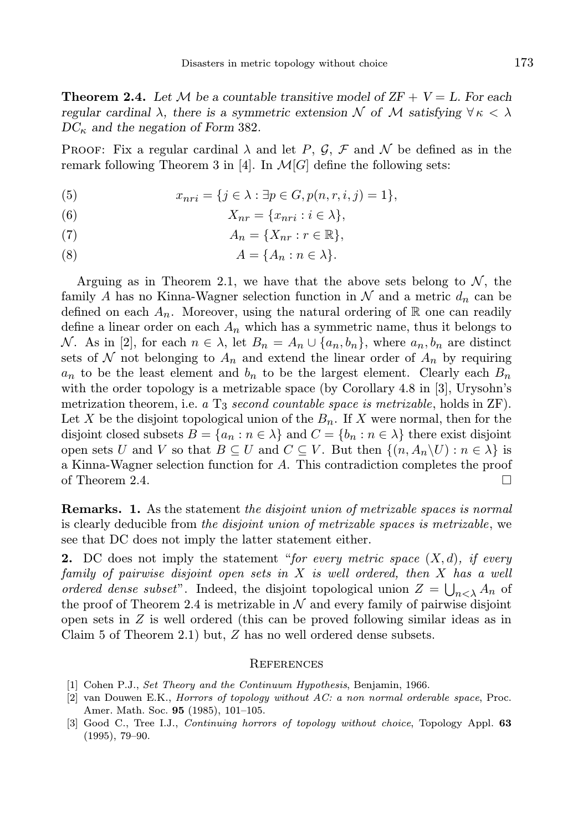**Theorem 2.4.** Let M be a countable transitive model of  $ZF + V = L$ . For each regular cardinal  $\lambda$ , there is a symmetric extension N of M satisfying  $\forall \kappa < \lambda$  $DC_{\kappa}$  and the negation of Form 382.

PROOF: Fix a regular cardinal  $\lambda$  and let P, G, F and N be defined as in the remark following Theorem 3 in [4]. In  $\mathcal{M}[G]$  define the following sets:

(5)  $x_{nri} = \{j \in \lambda : \exists p \in G, p(n, r, i, j) = 1\},\$ 

(6) 
$$
X_{nr} = \{x_{nri} : i \in \lambda\},\
$$

$$
(7) \t An = \{Xnr : r \in \mathbb{R}\},\
$$

$$
(8) \t\t A = \{A_n : n \in \lambda\}.
$$

Arguing as in Theorem 2.1, we have that the above sets belong to  $N$ , the family A has no Kinna-Wagner selection function in  $\mathcal N$  and a metric  $d_n$  can be defined on each  $A_n$ . Moreover, using the natural ordering of  $\mathbb R$  one can readily define a linear order on each  $A_n$  which has a symmetric name, thus it belongs to N. As in [2], for each  $n \in \lambda$ , let  $B_n = A_n \cup \{a_n, b_n\}$ , where  $a_n, b_n$  are distinct sets of N not belonging to  $A_n$  and extend the linear order of  $A_n$  by requiring  $a_n$  to be the least element and  $b_n$  to be the largest element. Clearly each  $B_n$ with the order topology is a metrizable space (by Corollary 4.8 in [3], Urysohn's metrization theorem, i.e. a  $T_3$  second countable space is metrizable, holds in ZF). Let X be the disjoint topological union of the  $B_n$ . If X were normal, then for the disjoint closed subsets  $B = \{a_n : n \in \lambda\}$  and  $C = \{b_n : n \in \lambda\}$  there exist disjoint open sets U and V so that  $B \subseteq U$  and  $C \subseteq V$ . But then  $\{(n, A_n \setminus U) : n \in \lambda\}$  is a Kinna-Wagner selection function for A. This contradiction completes the proof of Theorem 2.4.

Remarks. 1. As the statement the disjoint union of metrizable spaces is normal is clearly deducible from the disjoint union of metrizable spaces is metrizable, we see that DC does not imply the latter statement either.

**2.** DC does not imply the statement "for every metric space  $(X, d)$ , if every family of pairwise disjoint open sets in X is well ordered, then X has a well ordered dense subset". Indeed, the disjoint topological union  $Z = \bigcup_{n \leq \lambda} A_n$  of the proof of Theorem 2.4 is metrizable in  $\mathcal N$  and every family of pairwise disjoint open sets in Z is well ordered (this can be proved following similar ideas as in Claim 5 of Theorem 2.1) but, Z has no well ordered dense subsets.

#### **REFERENCES**

- [1] Cohen P.J., Set Theory and the Continuum Hypothesis, Benjamin, 1966.
- [2] van Douwen E.K., Horrors of topology without AC: a non normal orderable space, Proc. Amer. Math. Soc. 95 (1985), 101–105.
- [3] Good C., Tree I.J., Continuing horrors of topology without choice, Topology Appl. 63 (1995), 79–90.